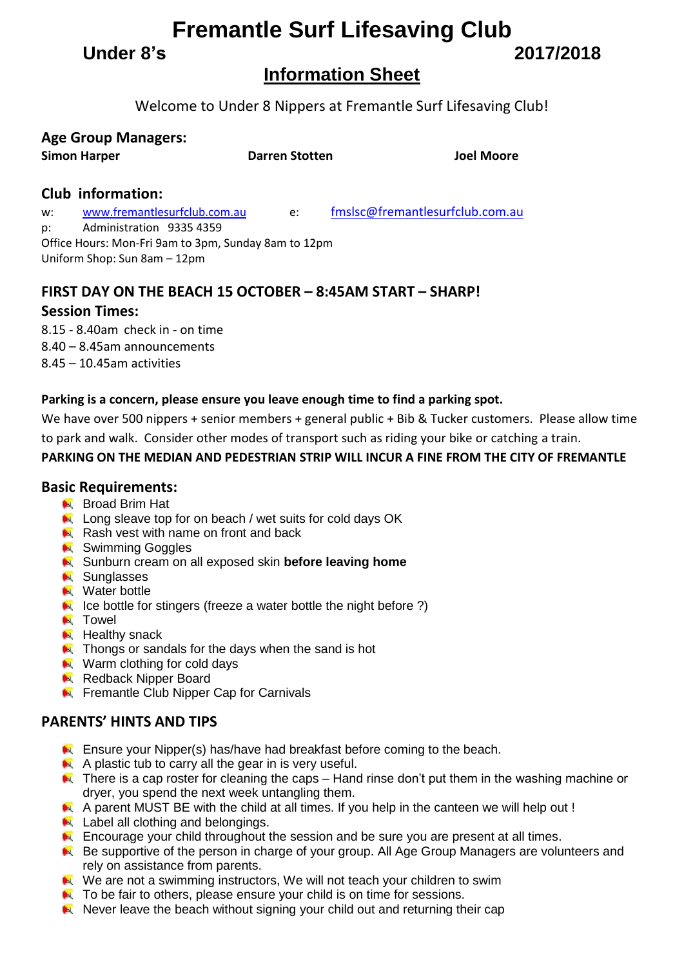**Fremantle Surf Lifesaving Club**

**Under 8's 2017/2018**

# **Information Sheet**

Welcome to Under 8 Nippers at Fremantle Surf Lifesaving Club!

|  | <b>Age Group Managers:</b> |
|--|----------------------------|
|--|----------------------------|

**Simon Harper Darren Stotten Joel Moore**

## **Club information:**

w: [www.fremantlesurfclub.com.au](http://www.fremantlesurfclub.com.au/) e: [fmslsc@fremantlesurfclub.com.au](mailto:fmslsc@fremantlesurfclub.com.au) p: Administration 9335 4359 Office Hours: Mon-Fri 9am to 3pm, Sunday 8am to 12pm Uniform Shop: Sun 8am – 12pm

## **FIRST DAY ON THE BEACH 15 OCTOBER – 8:45AM START – SHARP!**

## **Session Times:**

8.15 - 8.40am check in - on time 8.40 – 8.45am announcements 8.45 – 10.45am activities

## **Parking is a concern, please ensure you leave enough time to find a parking spot.**

We have over 500 nippers + senior members + general public + Bib & Tucker customers. Please allow time to park and walk. Consider other modes of transport such as riding your bike or catching a train.

## **PARKING ON THE MEDIAN AND PEDESTRIAN STRIP WILL INCUR A FINE FROM THE CITY OF FREMANTLE**

## **Basic Requirements:**

- **Broad Brim Hat**
- Long sleave top for on beach / wet suits for cold days OK
- Rash vest with name on front and back
- **N** Swimming Goggles
- **K** Sunburn cream on all exposed skin **before leaving home**
- **N** Sunglasses
- **N** Water bottle
- $\blacktriangleright$  Ice bottle for stingers (freeze a water bottle the night before ?)
- **N** Towel
- $H$  Healthy snack
- $\blacktriangleright$  Thongs or sandals for the days when the sand is hot
- **Warm clothing for cold days**
- Redback Nipper Board
- **Fig. 3** Fremantle Club Nipper Cap for Carnivals

## **PARENTS' HINTS AND TIPS**

- **Ensure your Nipper(s) has/have had breakfast before coming to the beach.**
- $\blacktriangleright$  A plastic tub to carry all the gear in is very useful.
- There is a cap roster for cleaning the caps Hand rinse don't put them in the washing machine or dryer, you spend the next week untangling them.
- A parent MUST BE with the child at all times. If you help in the canteen we will help out !
- Label all clothing and belongings.
- **EX** Encourage your child throughout the session and be sure you are present at all times.
- **Be supportive of the person in charge of your group. All Age Group Managers are volunteers and** rely on assistance from parents.
- We are not a swimming instructors, We will not teach your children to swim
- $\blacksquare$  To be fair to others, please ensure your child is on time for sessions.
- Never leave the beach without signing your child out and returning their cap